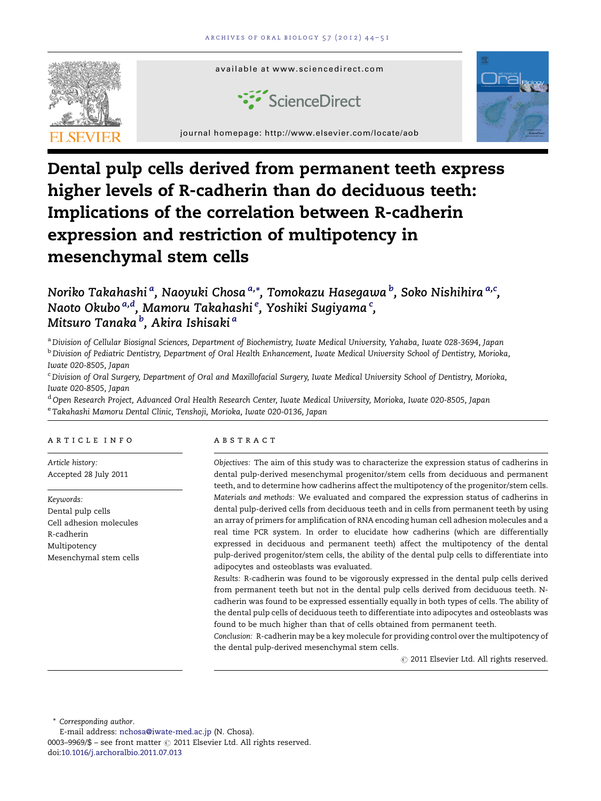

# Dental pulp cells derived from permanent teeth express higher levels of R-cadherin than do deciduous teeth: Implications of the correlation between R-cadherin expression and restriction of multipotency in mesenchymal stem cells

# Noriko Takahashi <sup>a</sup>, Naoyuki Chosa <sup>a,</sup>\*, Tomokazu Hasegawa <sup>b</sup>, Soko Nishihira <sup>a,c</sup>, Naoto Okubo $^{a,d}$ , Mamoru Takahashi $^e$ , Yoshiki Sugiyama $^c$ , Mitsuro Tanaka <sup>b</sup>, Akira Ishisaki <sup>a</sup>

a Division of Cellular Biosignal Sciences, Department of Biochemistry, Iwate Medical University, Yahaba, Iwate 028-3694, Japan **b Division of Pediatric Dentistry, Department of Oral Health Enhancement, Iwate Medical University School of Dentistry, Morioka,** Iwate 020-8505, Japan

<sup>c</sup> Division of Oral Surgery, Department of Oral and Maxillofacial Surgery, Iwate Medical University School of Dentistry, Morioka, Iwate 020-8505, Japan

<sup>d</sup> Open Research Project, Advanced Oral Health Research Center, Iwate Medical University, Morioka, Iwate 020-8505, Japan <sup>e</sup> Takahashi Mamoru Dental Clinic, Tenshoji, Morioka, Iwate 020-0136, Japan

# a r t i c l e i n f o

Article history: Accepted 28 July 2011

Keywords: Dental pulp cells Cell adhesion molecules R-cadherin Multipotency Mesenchymal stem cells

#### a b s t r a c t

Objectives: The aim of this study was to characterize the expression status of cadherins in dental pulp-derived mesenchymal progenitor/stem cells from deciduous and permanent teeth, and to determine how cadherins affect the multipotency of the progenitor/stem cells. Materials and methods: We evaluated and compared the expression status of cadherins in dental pulp-derived cells from deciduous teeth and in cells from permanent teeth by using an array of primers for amplification of RNA encoding human cell adhesion molecules and a real time PCR system. In order to elucidate how cadherins (which are differentially expressed in deciduous and permanent teeth) affect the multipotency of the dental pulp-derived progenitor/stem cells, the ability of the dental pulp cells to differentiate into adipocytes and osteoblasts was evaluated.

Results: R-cadherin was found to be vigorously expressed in the dental pulp cells derived from permanent teeth but not in the dental pulp cells derived from deciduous teeth. Ncadherin was found to be expressed essentially equally in both types of cells. The ability of the dental pulp cells of deciduous teeth to differentiate into adipocytes and osteoblasts was found to be much higher than that of cells obtained from permanent teeth.

Conclusion: R-cadherin may be a key molecule for providing control over the multipotency of the dental pulp-derived mesenchymal stem cells.

 $\oslash$  2011 Elsevier Ltd. All rights reserved.

\* Corresponding author.

0003–9969/\$ – see front matter  $\odot$  2011 Elsevier Ltd. All rights reserved. doi:[10.1016/j.archoralbio.2011.07.013](http://dx.doi.org/10.1016/j.archoralbio.2011.07.013)

E-mail address: [nchosa@iwate-med.ac.jp](mailto:nchosa@iwate-med.ac.jp) (N. Chosa).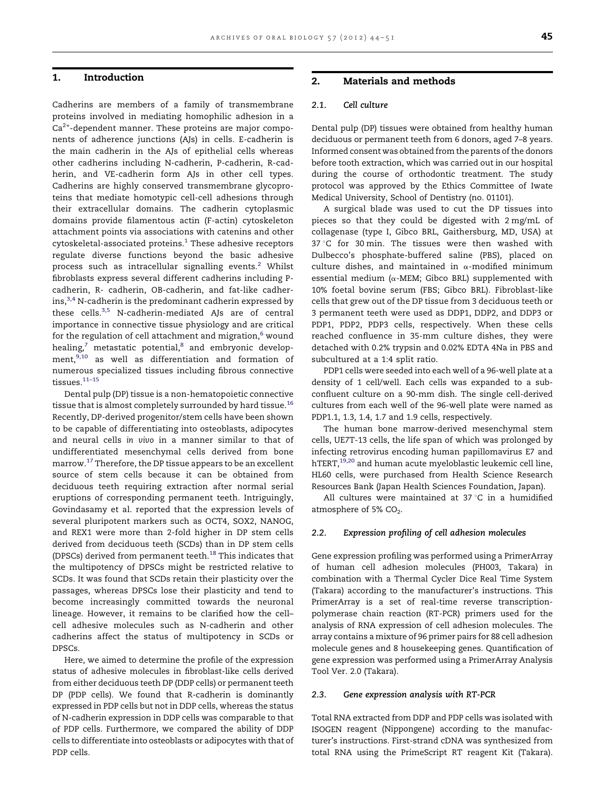# <span id="page-1-0"></span>1. Introduction

Cadherins are members of a family of transmembrane proteins involved in mediating homophilic adhesion in a  $Ca<sup>2+</sup>$ -dependent manner. These proteins are major components of adherence junctions (AJs) in cells. E-cadherin is the main cadherin in the AJs of epithelial cells whereas other cadherins including N-cadherin, P-cadherin, R-cadherin, and VE-cadherin form AJs in other cell types. Cadherins are highly conserved transmembrane glycoproteins that mediate homotypic cell-cell adhesions through their extracellular domains. The cadherin cytoplasmic domains provide filamentous actin (F-actin) cytoskeleton attachment points via associations with catenins and other cytoskeletal-associated proteins.<sup>[1](#page-7-0)</sup> These adhesive receptors regulate diverse functions beyond the basic adhesive process such as intracellular signalling events.<sup>[2](#page-7-0)</sup> Whilst fibroblasts express several different cadherins including Pcadherin, R- cadherin, OB-cadherin, and fat-like cadher- $ins,3,4}$  $ins,3,4}$  $ins,3,4}$  N-cadherin is the predominant cadherin expressed by these cells.<sup>[3,5](#page-7-0)</sup> N-cadherin-mediated AJs are of central importance in connective tissue physiology and are critical for the regulation of cell attachment and migration, $6$  wound healing, $7$  metastatic potential, $8$  and embryonic development, $9,10$  as well as differentiation and formation of numerous specialized tissues including fibrous connective tissues.<sup>11-15</sup>

Dental pulp (DP) tissue is a non-hematopoietic connective tissue that is almost completely surrounded by hard tissue.<sup>[16](#page-7-0)</sup> Recently, DP-derived progenitor/stem cells have been shown to be capable of differentiating into osteoblasts, adipocytes and neural cells in vivo in a manner similar to that of undifferentiated mesenchymal cells derived from bone marrow.[17](#page-7-0) Therefore, the DP tissue appears to be an excellent source of stem cells because it can be obtained from deciduous teeth requiring extraction after normal serial eruptions of corresponding permanent teeth. Intriguingly, Govindasamy et al. reported that the expression levels of several pluripotent markers such as OCT4, SOX2, NANOG, and REX1 were more than 2-fold higher in DP stem cells derived from deciduous teeth (SCDs) than in DP stem cells (DPSCs) derived from permanent teeth.<sup>[18](#page-7-0)</sup> This indicates that the multipotency of DPSCs might be restricted relative to SCDs. It was found that SCDs retain their plasticity over the passages, whereas DPSCs lose their plasticity and tend to become increasingly committed towards the neuronal lineage. However, it remains to be clarified how the cell– cell adhesive molecules such as N-cadherin and other cadherins affect the status of multipotency in SCDs or DPSCs.

Here, we aimed to determine the profile of the expression status of adhesive molecules in fibroblast-like cells derived from either deciduous teeth DP (DDP cells) or permanent teeth DP (PDP cells). We found that R-cadherin is dominantly expressed in PDP cells but not in DDP cells, whereas the status of N-cadherin expression in DDP cells was comparable to that of PDP cells. Furthermore, we compared the ability of DDP cells to differentiate into osteoblasts or adipocytes with that of PDP cells.

# 2. Materials and methods

# 2.1. Cell culture

Dental pulp (DP) tissues were obtained from healthy human deciduous or permanent teeth from 6 donors, aged 7–8 years. Informed consent was obtained from the parents of the donors before tooth extraction, which was carried out in our hospital during the course of orthodontic treatment. The study protocol was approved by the Ethics Committee of Iwate Medical University, School of Dentistry (no. 01101).

A surgical blade was used to cut the DP tissues into pieces so that they could be digested with 2 mg/mL of collagenase (type I, Gibco BRL, Gaithersburg, MD, USA) at 37 °C for 30 min. The tissues were then washed with Dulbecco's phosphate-buffered saline (PBS), placed on culture dishes, and maintained in  $\alpha$ -modified minimum essential medium ( $\alpha$ -MEM; Gibco BRL) supplemented with 10% foetal bovine serum (FBS; Gibco BRL). Fibroblast-like cells that grew out of the DP tissue from 3 deciduous teeth or 3 permanent teeth were used as DDP1, DDP2, and DDP3 or PDP1, PDP2, PDP3 cells, respectively. When these cells reached confluence in 35-mm culture dishes, they were detached with 0.2% trypsin and 0.02% EDTA 4Na in PBS and subcultured at a 1:4 split ratio.

PDP1 cells were seeded into each well of a 96-well plate at a density of 1 cell/well. Each cells was expanded to a subconfluent culture on a 90-mm dish. The single cell-derived cultures from each well of the 96-well plate were named as PDP1.1, 1.3, 1.4, 1.7 and 1.9 cells, respectively.

The human bone marrow-derived mesenchymal stem cells, UE7T-13 cells, the life span of which was prolonged by infecting retrovirus encoding human papillomavirus E7 and hTERT,<sup>[19,20](#page-7-0)</sup> and human acute myeloblastic leukemic cell line, HL60 cells, were purchased from Health Science Research Resources Bank (Japan Health Sciences Foundation, Japan).

All cultures were maintained at  $37^{\circ}$ C in a humidified atmosphere of 5%  $CO<sub>2</sub>$ .

# 2.2. Expression profiling of cell adhesion molecules

Gene expression profiling was performed using a PrimerArray of human cell adhesion molecules (PH003, Takara) in combination with a Thermal Cycler Dice Real Time System (Takara) according to the manufacturer's instructions. This PrimerArray is a set of real-time reverse transcriptionpolymerase chain reaction (RT-PCR) primers used for the analysis of RNA expression of cell adhesion molecules. The array contains a mixture of 96 primer pairs for 88 cell adhesion molecule genes and 8 housekeeping genes. Quantification of gene expression was performed using a PrimerArray Analysis Tool Ver. 2.0 (Takara).

# 2.3. Gene expression analysis with RT-PCR

Total RNA extracted from DDP and PDP cells was isolated with ISOGEN reagent (Nippongene) according to the manufacturer's instructions. First-strand cDNA was synthesized from total RNA using the PrimeScript RT reagent Kit (Takara).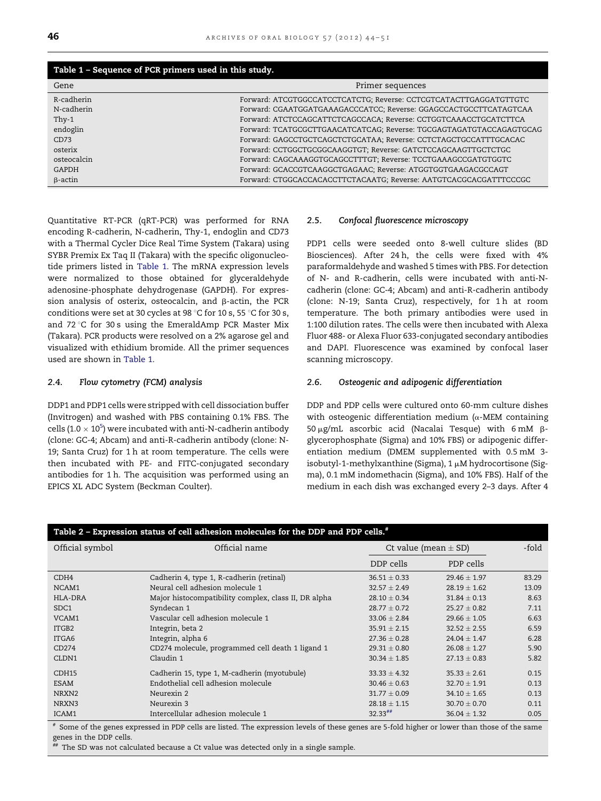<span id="page-2-0"></span>

| Table 1 - Sequence of PCR primers used in this study. |                                                                     |  |  |
|-------------------------------------------------------|---------------------------------------------------------------------|--|--|
| Gene                                                  | Primer sequences                                                    |  |  |
| R-cadherin                                            | Forward: ATCGTGGCCATCCTCATCTG; Reverse: CCTCGTCATACTTGAGGATGTTGTC   |  |  |
| N-cadherin                                            | Forward: CGAATGGATGAAAGACCCATCC; Reverse: GGAGCCACTGCCTTCATAGTCAA   |  |  |
| Thy-1                                                 | Forward: ATCTCCAGCATTCTCAGCCACA; Reverse: CCTGGTCAAACCTGCATCTTCA    |  |  |
| endoglin                                              | Forward: TCATGCGCTTGAACATCATCAG; Reverse: TGCGAGTAGATGTACCAGAGTGCAG |  |  |
| CD73                                                  | Forward: GAGCCTGCTCAGCTCTGCATAA; Reverse: CCTCTAGCTGCCATTTGCACAC    |  |  |
| osterix                                               | Forward: CCTGGCTGCGGCAAGGTGT; Reverse: GATCTCCAGCAAGTTGCTCTGC       |  |  |
| osteocalcin                                           | Forward: CAGCAAAGGTGCAGCCTTTGT; Reverse: TCCTGAAAGCCGATGTGGTC       |  |  |
| GAPDH                                                 | Forward: GCACCGTCAAGGCTGAGAAC; Reverse: ATGGTGGTGAAGACGCCAGT        |  |  |
| $\beta$ -actin                                        | Forward: CTGGCACCACACCTTCTACAATG; Reverse: AATGTCACGCACGATTTCCCGC   |  |  |

Quantitative RT-PCR (qRT-PCR) was performed for RNA encoding R-cadherin, N-cadherin, Thy-1, endoglin and CD73 with a Thermal Cycler Dice Real Time System (Takara) using SYBR Premix Ex Taq II (Takara) with the specific oligonucleotide primers listed in Table 1. The mRNA expression levels were normalized to those obtained for glyceraldehyde adenosine-phosphate dehydrogenase (GAPDH). For expression analysis of osterix, osteocalcin, and  $\beta$ -actin, the PCR conditions were set at 30 cycles at 98 °C for 10 s, 55 °C for 30 s, and 72 $\degree$ C for 30 s using the EmeraldAmp PCR Master Mix (Takara). PCR products were resolved on a 2% agarose gel and visualized with ethidium bromide. All the primer sequences used are shown in Table 1.

# 2.4. Flow cytometry (FCM) analysis

DDP1 and PDP1 cells were stripped with cell dissociation buffer (Invitrogen) and washed with PBS containing 0.1% FBS. The cells (1.0  $\times$  10<sup>[5](#page-7-0)</sup>) were incubated with anti-N-cadherin antibody (clone: GC-4; Abcam) and anti-R-cadherin antibody (clone: N-19; Santa Cruz) for 1 h at room temperature. The cells were then incubated with PE- and FITC-conjugated secondary antibodies for 1 h. The acquisition was performed using an EPICS XL ADC System (Beckman Coulter).

#### 2.5. Confocal fluorescence microscopy

PDP1 cells were seeded onto 8-well culture slides (BD Biosciences). After 24 h, the cells were fixed with 4% paraformaldehyde and washed 5 times with PBS. For detection of N- and R-cadherin, cells were incubated with anti-Ncadherin (clone: GC-4; Abcam) and anti-R-cadherin antibody (clone: N-19; Santa Cruz), respectively, for 1 h at room temperature. The both primary antibodies were used in 1:100 dilution rates. The cells were then incubated with Alexa Fluor 488- or Alexa Fluor 633-conjugated secondary antibodies and DAPI. Fluorescence was examined by confocal laser scanning microscopy.

# 2.6. Osteogenic and adipogenic differentiation

DDP and PDP cells were cultured onto 60-mm culture dishes with osteogenic differentiation medium  $(\alpha)$ -MEM containing 50  $\mu$ g/mL ascorbic acid (Nacalai Tesque) with 6 mM  $\beta$ glycerophosphate (Sigma) and 10% FBS) or adipogenic differentiation medium (DMEM supplemented with 0.5 mM 3 isobutyl-1-methylxanthine (Sigma),  $1 \mu M$  hydrocortisone (Sigma), 0.1 mM indomethacin (Sigma), and 10% FBS). Half of the medium in each dish was exchanged every 2–3 days. After 4

| Table 2 - Expression status of cell adhesion molecules for the DDP and PDP cells. <sup>#</sup> |                                                      |                       |                                   |       |
|------------------------------------------------------------------------------------------------|------------------------------------------------------|-----------------------|-----------------------------------|-------|
| Official symbol                                                                                | Official name                                        |                       | -fold<br>Ct value (mean $\pm$ SD) |       |
|                                                                                                |                                                      | DDP cells             | PDP cells                         |       |
| CDH <sub>4</sub>                                                                               | Cadherin 4, type 1, R-cadherin (retinal)             | $36.51 \pm 0.33$      | $29.46 \pm 1.97$                  | 83.29 |
| NCAM1                                                                                          | Neural cell adhesion molecule 1                      | $32.57 \pm 2.49$      | $28.19 \pm 1.62$                  | 13.09 |
| HLA-DRA                                                                                        | Major histocompatibility complex, class II, DR alpha | $28.10 \pm 0.34$      | $31.84 \pm 0.13$                  | 8.63  |
| SDC <sub>1</sub>                                                                               | Syndecan 1                                           | $28.77 \pm 0.72$      | $25.27 \pm 0.82$                  | 7.11  |
| VCAM1                                                                                          | Vascular cell adhesion molecule 1                    | $33.06 \pm 2.84$      | $29.66 \pm 1.05$                  | 6.63  |
| ITGB2                                                                                          | Integrin, beta 2                                     | $35.91 \pm 2.15$      | $32.52 \pm 2.55$                  | 6.59  |
| ITGA6                                                                                          | Integrin, alpha 6                                    | $27.36 + 0.28$        | $24.04 + 1.47$                    | 6.28  |
| CD274                                                                                          | CD274 molecule, programmed cell death 1 ligand 1     | $29.31 \pm 0.80$      | $26.08 \pm 1.27$                  | 5.90  |
| CLDN1                                                                                          | Claudin 1                                            | $30.34 \pm 1.85$      | $27.13 \pm 0.83$                  | 5.82  |
| CDH15                                                                                          | Cadherin 15, type 1, M-cadherin (myotubule)          | $33.33 \pm 4.32$      | $35.33 \pm 2.61$                  | 0.15  |
| <b>ESAM</b>                                                                                    | Endothelial cell adhesion molecule                   | $30.46 \pm 0.63$      | $32.70 \pm 1.91$                  | 0.13  |
| NRXN2                                                                                          | Neurexin 2                                           | $31.77 \pm 0.09$      | $34.10 \pm 1.65$                  | 0.13  |
| NRXN3                                                                                          | Neurexin 3                                           | $28.18 \pm 1.15$      | $30.70 \pm 0.70$                  | 0.11  |
| ICAM1                                                                                          | Intercellular adhesion molecule 1                    | $32.33$ <sup>##</sup> | $36.04 \pm 1.32$                  | 0.05  |

# Some of the genes expressed in PDP cells are listed. The expression levels of these genes are 5-fold higher or lower than those of the same genes in the DDP cells.

The SD was not calculated because a Ct value was detected only in a single sample.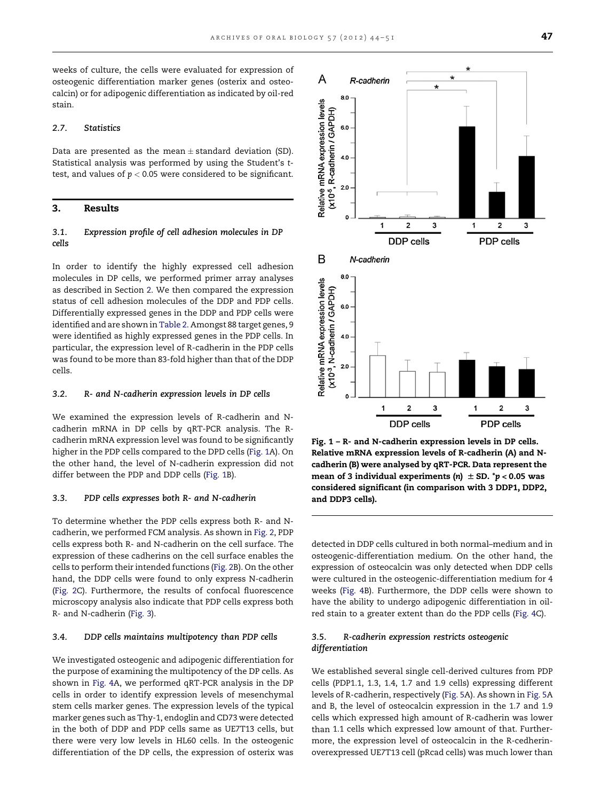A

 $8<sub>c</sub>$ 

6.0

 $40$ 

 $2.0$ 

R-cadherin / GAPDH)

R-cadherin

<span id="page-3-0"></span>weeks of culture, the cells were evaluated for expression of osteogenic differentiation marker genes (osterix and osteocalcin) or for adipogenic differentiation as indicated by oil-red stain.

#### 2.7. Statistics

Data are presented as the mean  $\pm$  standard deviation (SD). Statistical analysis was performed by using the Student's ttest, and values of  $p < 0.05$  were considered to be significant.

## 3. Results

# 3.1. Expression profile of cell adhesion molecules in DP cells

In order to identify the highly expressed cell adhesion molecules in DP cells, we performed primer array analyses as described in Section [2.](#page-1-0) We then compared the expression status of cell adhesion molecules of the DDP and PDP cells. Differentially expressed genes in the DDP and PDP cells were identified and are shown in [Table](#page-2-0) 2. Amongst 88 target genes, 9 were identified as highly expressed genes in the PDP cells. In particular, the expression level of R-cadherin in the PDP cells was found to be more than 83-fold higher than that of the DDP cells.

#### 3.2. R- and N-cadherin expression levels in DP cells

We examined the expression levels of R-cadherin and Ncadherin mRNA in DP cells by qRT-PCR analysis. The Rcadherin mRNA expression level was found to be significantly higher in the PDP cells compared to the DPD cells (Fig. 1A). On the other hand, the level of N-cadherin expression did not differ between the PDP and DDP cells (Fig. 1B).

#### 3.3. PDP cells expresses both R- and N-cadherin

To determine whether the PDP cells express both R- and Ncadherin, we performed FCM analysis. As shown in [Fig.](#page-4-0) 2, PDP cells express both R- and N-cadherin on the cell surface. The expression of these cadherins on the cell surface enables the cells to perform their intended functions ([Fig.](#page-4-0) 2B). On the other hand, the DDP cells were found to only express N-cadherin [\(Fig.](#page-4-0) 2C). Furthermore, the results of confocal fluorescence microscopy analysis also indicate that PDP cells express both R- and N-cadherin ([Fig.](#page-4-0) 3).

#### 3.4. DDP cells maintains multipotency than PDP cells

We investigated osteogenic and adipogenic differentiation for the purpose of examining the multipotency of the DP cells. As shown in [Fig.](#page-5-0) 4A, we performed qRT-PCR analysis in the DP cells in order to identify expression levels of mesenchymal stem cells marker genes. The expression levels of the typical marker genes such as Thy-1, endoglin and CD73 were detected in the both of DDP and PDP cells same as UE7T13 cells, but there were very low levels in HL60 cells. In the osteogenic differentiation of the DP cells, the expression of osterix was



detected in DDP cells cultured in both normal–medium and in osteogenic-differentiation medium. On the other hand, the expression of osteocalcin was only detected when DDP cells were cultured in the osteogenic-differentiation medium for 4 weeks [\(Fig.](#page-5-0) 4B). Furthermore, the DDP cells were shown to have the ability to undergo adipogenic differentiation in oilred stain to a greater extent than do the PDP cells ([Fig.](#page-5-0) 4C).

# 3.5. R-cadherin expression restricts osteogenic differentiation

We established several single cell-derived cultures from PDP cells (PDP1.1, 1.3, 1.4, 1.7 and 1.9 cells) expressing different levels of R-cadherin, respectively ([Fig.](#page-6-0) 5A). As shown in [Fig.](#page-6-0) 5A and B, the level of osteocalcin expression in the 1.7 and 1.9 cells which expressed high amount of R-cadherin was lower than 1.1 cells which expressed low amount of that. Furthermore, the expression level of osteocalcin in the R-cedherinoverexpressed UE7T13 cell (pRcad cells) was much lower than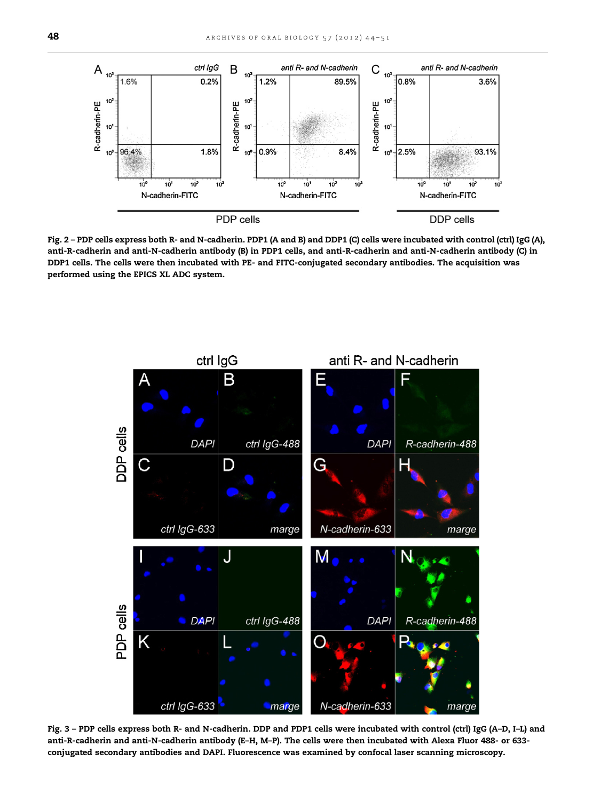<span id="page-4-0"></span>

Fig. 2 – PDP cells express both R- and N-cadherin. PDP1 (A and B) and DDP1 (C) cells were incubated with control (ctrl) IgG (A), anti-R-cadherin and anti-N-cadherin antibody (B) in PDP1 cells, and anti-R-cadherin and anti-N-cadherin antibody (C) in DDP1 cells. The cells were then incubated with PE- and FITC-conjugated secondary antibodies. The acquisition was performed using the EPICS XL ADC system.



Fig. 3 – PDP cells express both R- and N-cadherin. DDP and PDP1 cells were incubated with control (ctrl) IgG (A–D, I–L) and anti-R-cadherin and anti-N-cadherin antibody (E–H, M–P). The cells were then incubated with Alexa Fluor 488- or 633 conjugated secondary antibodies and DAPI. Fluorescence was examined by confocal laser scanning microscopy.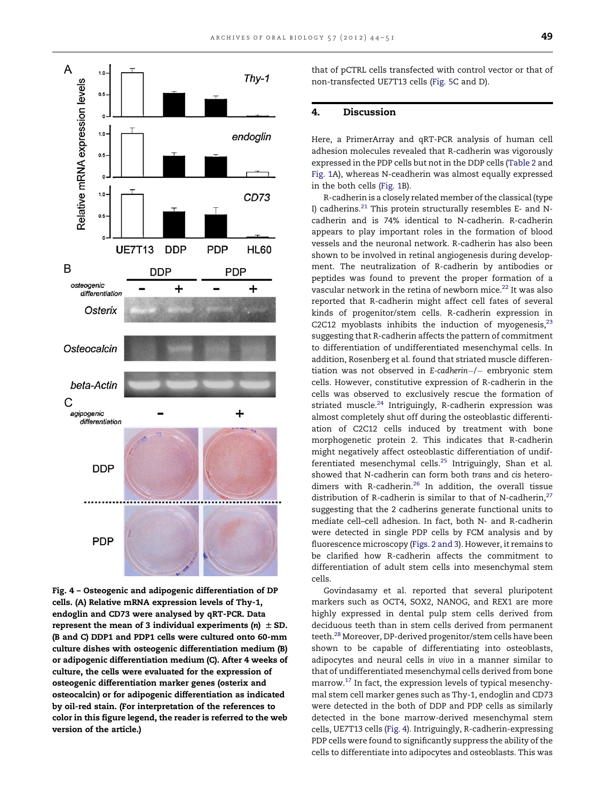<span id="page-5-0"></span>

Fig. 4 – Osteogenic and adipogenic differentiation of DP cells. (A) Relative mRNA expression levels of Thy-1, endoglin and CD73 were analysed by qRT-PCR. Data represent the mean of 3 individual experiments (n)  $\pm$  SD. (B and C) DDP1 and PDP1 cells were cultured onto 60-mm culture dishes with osteogenic differentiation medium (B) or adipogenic differentiation medium (C). After 4 weeks of culture, the cells were evaluated for the expression of osteogenic differentiation marker genes (osterix and osteocalcin) or for adipogenic differentiation as indicated by oil-red stain. (For interpretation of the references to color in this figure legend, the reader is referred to the web version of the article.)

that of pCTRL cells transfected with control vector or that of non-transfected UE7T13 cells ([Fig.](#page-6-0) 5C and D).

# 4. Discussion

Here, a PrimerArray and qRT-PCR analysis of human cell adhesion molecules revealed that R-cadherin was vigorously expressed in the PDP cells but not in the DDP cells ([Table](#page-2-0) 2 and [Fig.](#page-3-0) 1A), whereas N-ceadherin was almost equally expressed in the both cells ([Fig.](#page-3-0) 1B).

R-cadherin is a closely related member of the classical (type I) cadherins.<sup>[21](#page-7-0)</sup> This protein structurally resembles E- and Ncadherin and is 74% identical to N-cadherin. R-cadherin appears to play important roles in the formation of blood vessels and the neuronal network. R-cadherin has also been shown to be involved in retinal angiogenesis during development. The neutralization of R-cadherin by antibodies or peptides was found to prevent the proper formation of a vascular network in the retina of newborn mice.<sup>[22](#page-7-0)</sup> It was also reported that R-cadherin might affect cell fates of several kinds of progenitor/stem cells. R-cadherin expression in C2C12 myoblasts inhibits the induction of myogenesis, $^{23}$ suggesting that R-cadherin affects the pattern of commitment to differentiation of undifferentiated mesenchymal cells. In addition, Rosenberg et al. found that striated muscle differentiation was not observed in E-cadherin $-/-$  embryonic stem cells. However, constitutive expression of R-cadherin in the cells was observed to exclusively rescue the formation of striated muscle.<sup>[24](#page-7-0)</sup> Intriguingly, R-cadherin expression was almost completely shut off during the osteoblastic differentiation of C2C12 cells induced by treatment with bone morphogenetic protein 2. This indicates that R-cadherin might negatively affect osteoblastic differentiation of undif-ferentiated mesenchymal cells.<sup>[25](#page-7-0)</sup> Intriguingly, Shan et al. showed that N-cadherin can form both trans and cis hetero-dimers with R-cadherin.<sup>[26](#page-7-0)</sup> In addition, the overall tissue distribution of R-cadherin is similar to that of N-cadherin, $27$ suggesting that the 2 cadherins generate functional units to mediate cell–cell adhesion. In fact, both N- and R-cadherin were detected in single PDP cells by FCM analysis and by fluorescence microscopy ([Figs.](#page-4-0) 2 and 3). However, it remains to be clarified how R-cadherin affects the commitment to differentiation of adult stem cells into mesenchymal stem cells.

Govindasamy et al. reported that several pluripotent markers such as OCT4, SOX2, NANOG, and REX1 are more highly expressed in dental pulp stem cells derived from deciduous teeth than in stem cells derived from permanent teeth.<sup>28</sup> Moreover, DP-derived progenitor/stem cells have been shown to be capable of differentiating into osteoblasts, adipocytes and neural cells in vivo in a manner similar to that of undifferentiated mesenchymal cells derived from bone marrow.<sup>17</sup> In fact, the expression levels of typical mesenchymal stem cell marker genes such as Thy-1, endoglin and CD73 were detected in the both of DDP and PDP cells as similarly detected in the bone marrow-derived mesenchymal stem cells, UE7T13 cells (Fig. 4). Intriguingly, R-cadherin-expressing PDP cells were found to significantly suppress the ability of the cells to differentiate into adipocytes and osteoblasts. This was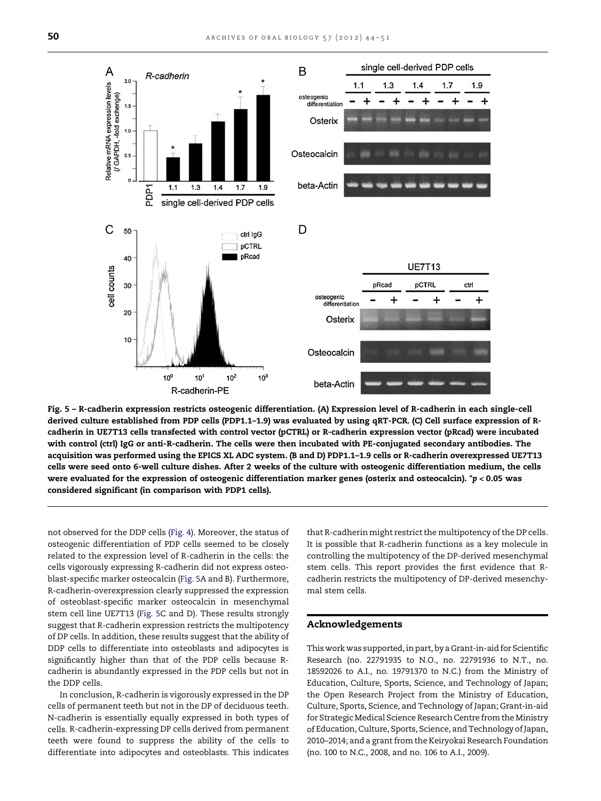<span id="page-6-0"></span>

Fig. 5 – R-cadherin expression restricts osteogenic differentiation. (A) Expression level of R-cadherin in each single-cell derived culture established from PDP cells (PDP1.1–1.9) was evaluated by using qRT-PCR. (C) Cell surface expression of Rcadherin in UE7T13 cells transfected with control vector (pCTRL) or R-cadherin expression vector (pRcad) were incubated with control (ctrl) IgG or anti-R-cadherin. The cells were then incubated with PE-conjugated secondary antibodies. The acquisition was performed using the EPICS XL ADC system. (B and D) PDP1.1–1.9 cells or R-cadherin overexpressed UE7T13 cells were seed onto 6-well culture dishes. After 2 weeks of the culture with osteogenic differentiation medium, the cells were evaluated for the expression of osteogenic differentiation marker genes (osterix and osteocalcin). \*p < 0.05 was considered significant (in comparison with PDP1 cells).

not observed for the DDP cells [\(Fig.](#page-5-0) 4). Moreover, the status of osteogenic differentiation of PDP cells seemed to be closely related to the expression level of R-cadherin in the cells: the cells vigorously expressing R-cadherin did not express osteoblast-specific marker osteocalcin (Fig. 5A and B). Furthermore, R-cadherin-overexpression clearly suppressed the expression of osteoblast-specific marker osteocalcin in mesenchymal stem cell line UE7T13 (Fig. 5C and D). These results strongly suggest that R-cadherin expression restricts the multipotency of DP cells. In addition, these results suggest that the ability of DDP cells to differentiate into osteoblasts and adipocytes is significantly higher than that of the PDP cells because Rcadherin is abundantly expressed in the PDP cells but not in the DDP cells.

In conclusion, R-cadherin is vigorously expressed in the DP cells of permanent teeth but not in the DP of deciduous teeth. N-cadherin is essentially equally expressed in both types of cells. R-cadherin-expressing DP cells derived from permanent teeth were found to suppress the ability of the cells to differentiate into adipocytes and osteoblasts. This indicates

that R-cadherin might restrict the multipotency of the DP cells. It is possible that R-cadherin functions as a key molecule in controlling the multipotency of the DP-derived mesenchymal stem cells. This report provides the first evidence that Rcadherin restricts the multipotency of DP-derived mesenchymal stem cells.

#### Acknowledgements

This work was supported, in part, by a Grant-in-aid for Scientific Research (no. 22791935 to N.O., no. 22791936 to N.T., no. 18592026 to A.I., no. 19791370 to N.C.) from the Ministry of Education, Culture, Sports, Science, and Technology of Japan; the Open Research Project from the Ministry of Education, Culture, Sports, Science, and Technology of Japan; Grant-in-aid for Strategic Medical Science Research Centre from the Ministry of Education,Culture, Sports, Science, and Technology ofJapan, 2010–2014; and a grant from the Keiryokai Research Foundation (no. 100 to N.C., 2008, and no. 106 to A.I., 2009).